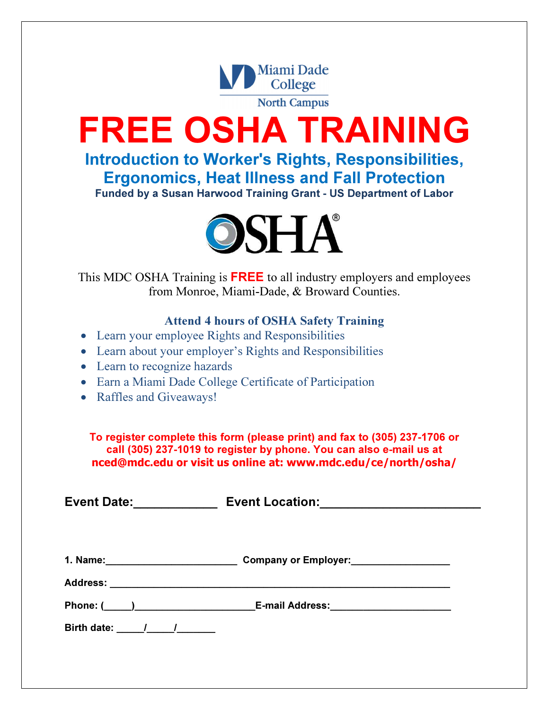

FREE OSHA TRAINING

Introduction to Worker's Rights, Responsibilities, Ergonomics, Heat Illness and Fall Protection Funded by a Susan Harwood Training Grant - US Department of Labor



This MDC OSHA Training is **FREE** to all industry employers and employees from Monroe, Miami-Dade, & Broward Counties.

## Attend 4 hours of OSHA Safety Training

- Learn your employee Rights and Responsibilities
- Learn about your employer's Rights and Responsibilities
- Learn to recognize hazards
- Earn a Miami Dade College Certificate of Participation
- Raffles and Giveaways!

To register complete this form (please print) and fax to (305) 237-1706 or call (305) 237-1019 to register by phone. You can also e-mail us at nced@mdc.edu or visit us online at: www.mdc.edu/ce/north/osha/

Event Date:\_\_\_\_\_\_\_\_\_\_\_\_ Event Location:\_\_\_\_\_\_\_\_\_\_\_\_\_\_\_\_\_\_\_\_\_\_\_ 1. Name:\_\_\_\_\_\_\_\_\_\_\_\_\_\_\_\_\_\_\_\_\_\_\_\_ Company or Employer:\_\_\_\_\_\_\_\_\_\_\_\_\_\_\_\_\_\_ Address: Phone: ( \_\_\_\_) The E-mail Address: Birth date:  $\frac{1}{2}$  /  $\frac{1}{2}$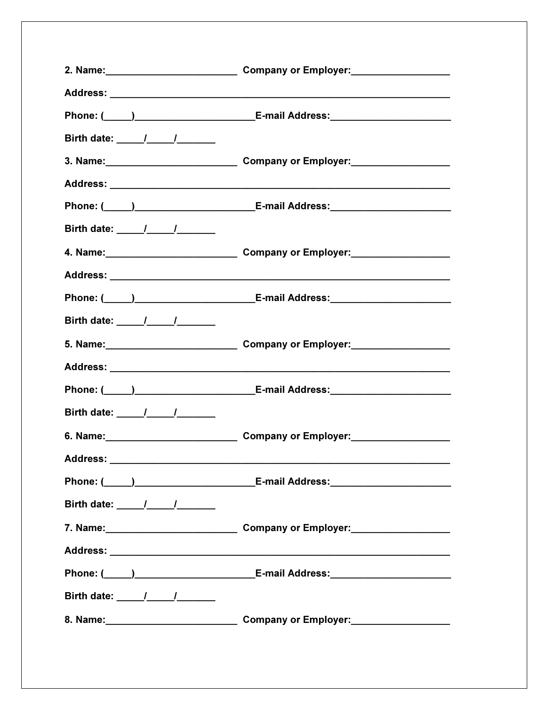|                                  | Company or Employer:<br><u>Company or Employer:</u>                                                                                                                                                                                   |
|----------------------------------|---------------------------------------------------------------------------------------------------------------------------------------------------------------------------------------------------------------------------------------|
|                                  |                                                                                                                                                                                                                                       |
|                                  |                                                                                                                                                                                                                                       |
|                                  |                                                                                                                                                                                                                                       |
|                                  | 3. Name: Company or Employer:                                                                                                                                                                                                         |
|                                  |                                                                                                                                                                                                                                       |
|                                  | Phone: ( <u>United Networks and Constructions and Accessive Constructions and Accessive Constructions and Accessive Constructions and Accessive Constructions and Accessive Constructions and Accessive Constructions and Accessi</u> |
|                                  |                                                                                                                                                                                                                                       |
|                                  | Company or Employer:<br><u>Lettic and the company of Employer:</u>                                                                                                                                                                    |
|                                  |                                                                                                                                                                                                                                       |
|                                  | Phone: (_____)______________________________E-mail Address:_____________________                                                                                                                                                      |
| Birth date: 1 1                  |                                                                                                                                                                                                                                       |
|                                  | 5. Name: Company or Employer:                                                                                                                                                                                                         |
|                                  |                                                                                                                                                                                                                                       |
|                                  | Phone: (_____)______________________________E-mail Address:_____________________                                                                                                                                                      |
| Birth date: _____/_____/_______  |                                                                                                                                                                                                                                       |
|                                  | Company or Employer:<br><u>Company or Employer:</u>                                                                                                                                                                                   |
| <b>Address:</b>                  |                                                                                                                                                                                                                                       |
|                                  | Phone: ( <u>2000)</u> 2020 E-mail Address: 2020 2020 E-mail Address:                                                                                                                                                                  |
| Birth date: _____/_____/________ |                                                                                                                                                                                                                                       |
|                                  |                                                                                                                                                                                                                                       |
|                                  |                                                                                                                                                                                                                                       |
|                                  | Phone: (_____)______________________________E-mail Address:_____________________                                                                                                                                                      |
|                                  |                                                                                                                                                                                                                                       |
|                                  | 8. Name: Company or Employer:                                                                                                                                                                                                         |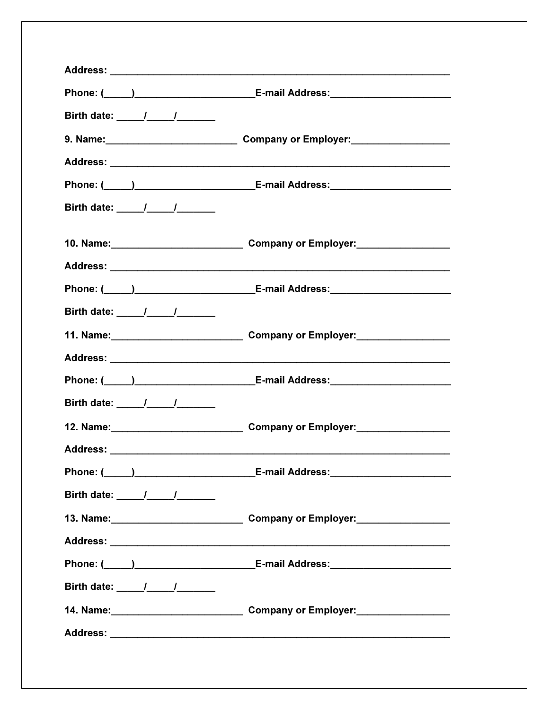|                                                      | Phone: ( <u>University</u> C-mail Address: <u>University C-mail Address: University Contract Community Contract Contract Community Contract Contract Contract Contract Contract Contract Contract Contract Contract Contract Contract </u> |
|------------------------------------------------------|--------------------------------------------------------------------------------------------------------------------------------------------------------------------------------------------------------------------------------------------|
|                                                      |                                                                                                                                                                                                                                            |
|                                                      |                                                                                                                                                                                                                                            |
|                                                      |                                                                                                                                                                                                                                            |
|                                                      | Phone: ( <u>University of Communication</u> E-mail Address: <u>Communication of Communication</u>                                                                                                                                          |
| Birth date: $\frac{1}{\sqrt{1-\frac{1}{1-\cdots}}}}$ |                                                                                                                                                                                                                                            |
|                                                      |                                                                                                                                                                                                                                            |
|                                                      |                                                                                                                                                                                                                                            |
|                                                      | Phone: ( <u>Califare and Community Community Community Community Community Community Community Community Community Community Community Community Community Community Community Community Community Community Community Community </u>      |
| Birth date: $\frac{1}{\sqrt{2}}$                     |                                                                                                                                                                                                                                            |
|                                                      | 11. Name: 1. December 2014 Company or Employer:                                                                                                                                                                                            |
|                                                      |                                                                                                                                                                                                                                            |
|                                                      | Phone: ( <u>2000)</u> [2010] [2010] [2010] [2010] [2010] [2010] [2010] [2010] [2010] [2010] [2010] [2010] [2010] [2010] [                                                                                                                  |
| Birth date: 1 1                                      |                                                                                                                                                                                                                                            |
|                                                      | Company or Employer:<br><u>Letting and the substitution</u>                                                                                                                                                                                |
|                                                      |                                                                                                                                                                                                                                            |
|                                                      |                                                                                                                                                                                                                                            |
| Birth date: _____/_____/_______                      |                                                                                                                                                                                                                                            |
|                                                      | 13. Name: 13. Name: 13. Name: 13. Name: 13. Name: 13. Name: 13. Name: 13. Name: 13. Name: 13. Name: 13. Name: 1                                                                                                                            |
|                                                      |                                                                                                                                                                                                                                            |
|                                                      | Phone: (_____)______________________________E-mail Address:_____________________                                                                                                                                                           |
| Birth date: _____/_____/_______                      |                                                                                                                                                                                                                                            |
|                                                      |                                                                                                                                                                                                                                            |
|                                                      |                                                                                                                                                                                                                                            |